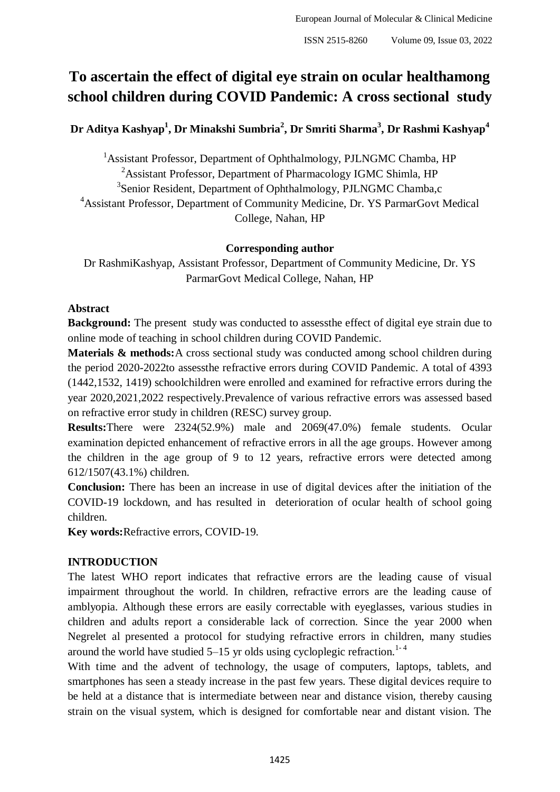# **To ascertain the effect of digital eye strain on ocular healthamong school children during COVID Pandemic: A cross sectional study**

**Dr Aditya Kashyap<sup>1</sup> , Dr Minakshi Sumbria<sup>2</sup> , Dr Smriti Sharma<sup>3</sup> , Dr Rashmi Kashyap<sup>4</sup>**

<sup>1</sup>Assistant Professor, Department of Ophthalmology, PJLNGMC Chamba, HP <sup>2</sup>Assistant Professor, Department of Pharmacology IGMC Shimla, HP <sup>3</sup>Senior Resident, Department of Ophthalmology, PJLNGMC Chamba,c <sup>4</sup>Assistant Professor, Department of Community Medicine, Dr. YS ParmarGovt Medical College, Nahan, HP

### **Corresponding author**

Dr RashmiKashyap, Assistant Professor, Department of Community Medicine, Dr. YS ParmarGovt Medical College, Nahan, HP

#### **Abstract**

**Background:** The present study was conducted to assessthe effect of digital eye strain due to online mode of teaching in school children during COVID Pandemic.

**Materials & methods:**A cross sectional study was conducted among school children during the period 2020-2022to assessthe refractive errors during COVID Pandemic. A total of 4393 (1442,1532, 1419) schoolchildren were enrolled and examined for refractive errors during the year 2020,2021,2022 respectively.Prevalence of various refractive errors was assessed based on refractive error study in children (RESC) survey group.

**Results:**There were 2324(52.9%) male and 2069(47.0%) female students. Ocular examination depicted enhancement of refractive errors in all the age groups. However among the children in the age group of 9 to 12 years, refractive errors were detected among 612/1507(43.1%) children.

**Conclusion:** There has been an increase in use of digital devices after the initiation of the COVID-19 lockdown, and has resulted in deterioration of ocular health of school going children.

**Key words:**Refractive errors, COVID-19.

## **INTRODUCTION**

The latest WHO report indicates that refractive errors are the leading cause of visual impairment throughout the world. In children, refractive errors are the leading cause of amblyopia. Although these errors are easily correctable with eyeglasses, various studies in children and adults report a considerable lack of correction. Since the year 2000 when Negrelet al presented a protocol for studying refractive errors in children, many studies around the world have studied  $5-15$  yr olds using cycloplegic refraction.<sup>1-4</sup>

With time and the advent of technology, the usage of computers, laptops, tablets, and smartphones has seen a steady increase in the past few years. These digital devices require to be held at a distance that is intermediate between near and distance vision, thereby causing strain on the visual system, which is designed for comfortable near and distant vision. The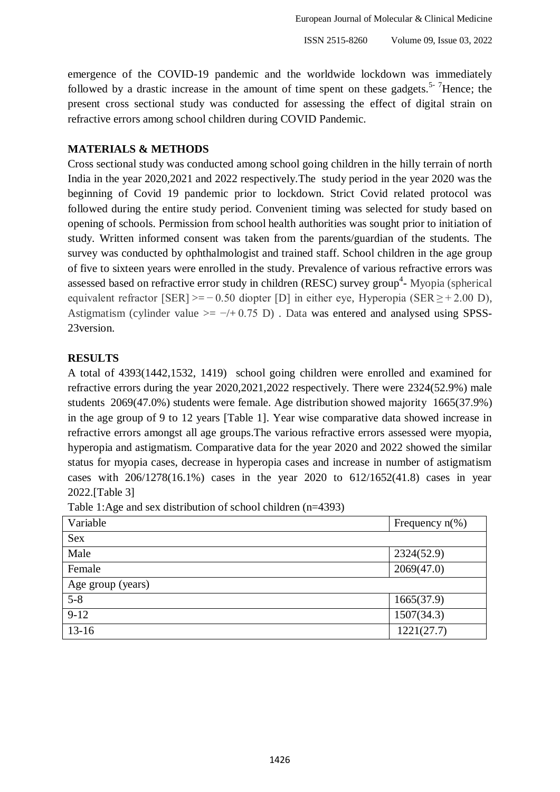emergence of the COVID-19 pandemic and the worldwide lockdown was immediately followed by a drastic increase in the amount of time spent on these gadgets.<sup>5-7</sup>Hence; the present cross sectional study was conducted for assessing the effect of digital strain on refractive errors among school children during COVID Pandemic.

## **MATERIALS & METHODS**

Cross sectional study was conducted among school going children in the hilly terrain of north India in the year 2020,2021 and 2022 respectively.The study period in the year 2020 was the beginning of Covid 19 pandemic prior to lockdown. Strict Covid related protocol was followed during the entire study period. Convenient timing was selected for study based on opening of schools. Permission from school health authorities was sought prior to initiation of study. Written informed consent was taken from the parents/guardian of the students. The survey was conducted by ophthalmologist and trained staff. School children in the age group of five to sixteen years were enrolled in the study. Prevalence of various refractive errors was assessed based on refractive error study in children (RESC) survey group<sup>4</sup>- Myopia (spherical equivalent refractor  $[SER] >= -0.50$  diopter  $[D]$  in either eye, Hyperopia  $(SER \ge +2.00 \text{ D})$ , Astigmatism (cylinder value  $>= -/+0.75$  D). Data was entered and analysed using SPSS-23version.

## **RESULTS**

A total of 4393(1442,1532, 1419) school going children were enrolled and examined for refractive errors during the year 2020,2021,2022 respectively. There were 2324(52.9%) male students 2069(47.0%) students were female. Age distribution showed majority 1665(37.9%) in the age group of 9 to 12 years [Table 1]. Year wise comparative data showed increase in refractive errors amongst all age groups.The various refractive errors assessed were myopia, hyperopia and astigmatism. Comparative data for the year 2020 and 2022 showed the similar status for myopia cases, decrease in hyperopia cases and increase in number of astigmatism cases with 206/1278(16.1%) cases in the year 2020 to 612/1652(41.8) cases in year 2022.[Table 3]

| Variable          | Frequency $n(\%)$ |  |  |  |  |
|-------------------|-------------------|--|--|--|--|
| Sex               |                   |  |  |  |  |
| Male              | 2324(52.9)        |  |  |  |  |
| Female            | 2069(47.0)        |  |  |  |  |
| Age group (years) |                   |  |  |  |  |
| $5 - 8$           | 1665(37.9)        |  |  |  |  |
| $9-12$            | 1507(34.3)        |  |  |  |  |
| $13 - 16$         | 1221(27.7)        |  |  |  |  |

Table 1:Age and sex distribution of school children (n=4393)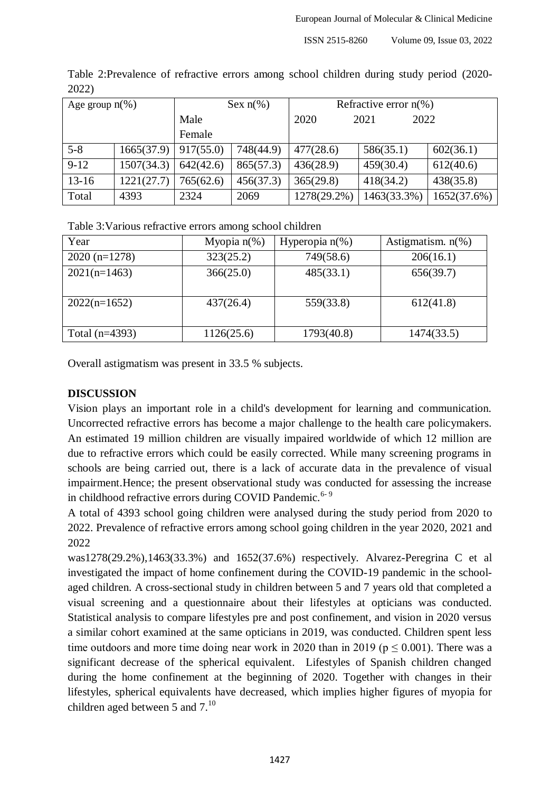| Age group $n(\%)$ |            | Sex $n\%$ ) |           | Refractive error $n(\%)$ |              |             |
|-------------------|------------|-------------|-----------|--------------------------|--------------|-------------|
|                   |            | Male        |           | 2020                     | 2021<br>2022 |             |
|                   |            | Female      |           |                          |              |             |
| $5 - 8$           | 1665(37.9) | 917(55.0)   | 748(44.9) | 477(28.6)                | 586(35.1)    | 602(36.1)   |
| $9 - 12$          | 1507(34.3) | 642(42.6)   | 865(57.3) | 436(28.9)                | 459(30.4)    | 612(40.6)   |
| $13 - 16$         | 1221(27.7) | 765(62.6)   | 456(37.3) | 365(29.8)                | 418(34.2)    | 438(35.8)   |
| Total             | 4393       | 2324        | 2069      | 1278(29.2%)              | 1463(33.3%)  | 1652(37.6%) |

Table 2:Prevalence of refractive errors among school children during study period (2020- 2022)

Table 3:Various refractive errors among school children

| Year             | Myopia $n(\%)$ | Hyperopia $n(\%)$ | Astigmatism. $n(\%)$ |
|------------------|----------------|-------------------|----------------------|
| $2020(n=1278)$   | 323(25.2)      | 749(58.6)         | 206(16.1)            |
| $2021(n=1463)$   | 366(25.0)      | 485(33.1)         | 656(39.7)            |
| $2022(n=1652)$   | 437(26.4)      | 559(33.8)         | 612(41.8)            |
| Total $(n=4393)$ | 1126(25.6)     | 1793(40.8)        | 1474(33.5)           |

Overall astigmatism was present in 33.5 % subjects.

## **DISCUSSION**

Vision plays an important role in a child's development for learning and communication. Uncorrected refractive errors has become a major challenge to the health care policymakers. An estimated 19 million children are visually impaired worldwide of which 12 million are due to refractive errors which could be easily corrected. While many screening programs in schools are being carried out, there is a lack of accurate data in the prevalence of visual impairment.Hence; the present observational study was conducted for assessing the increase in childhood refractive errors during COVID Pandemic.<sup>6-9</sup>

A total of 4393 school going children were analysed during the study period from 2020 to 2022. Prevalence of refractive errors among school going children in the year 2020, 2021 and 2022

was1278(29.2%),1463(33.3%) and 1652(37.6%) respectively. Alvarez-Peregrina C et al investigated the impact of home confinement during the COVID-19 pandemic in the schoolaged children. A cross-sectional study in children between 5 and 7 years old that completed a visual screening and a questionnaire about their lifestyles at opticians was conducted. Statistical analysis to compare lifestyles pre and post confinement, and vision in 2020 versus a similar cohort examined at the same opticians in 2019, was conducted. Children spent less time outdoors and more time doing near work in 2020 than in 2019 ( $p \le 0.001$ ). There was a significant decrease of the spherical equivalent. Lifestyles of Spanish children changed during the home confinement at the beginning of 2020. Together with changes in their lifestyles, spherical equivalents have decreased, which implies higher figures of myopia for children aged between 5 and  $7.^{10}$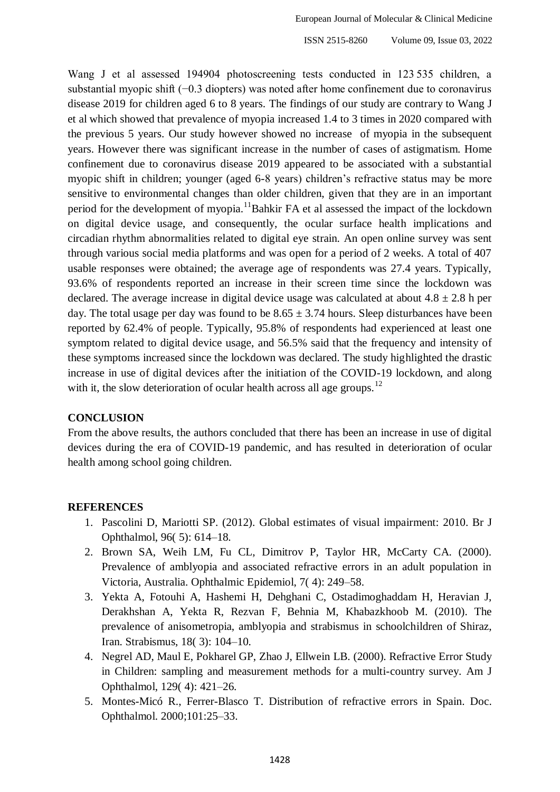Wang J et al assessed 194904 photoscreening tests conducted in 123 535 children, a substantial myopic shift (−0.3 diopters) was noted after home confinement due to coronavirus disease 2019 for children aged 6 to 8 years. The findings of our study are contrary to Wang J et al which showed that prevalence of myopia increased 1.4 to 3 times in 2020 compared with the previous 5 years. Our study however showed no increase of myopia in the subsequent years. However there was significant increase in the number of cases of astigmatism. Home confinement due to coronavirus disease 2019 appeared to be associated with a substantial myopic shift in children; younger (aged 6-8 years) children's refractive status may be more sensitive to environmental changes than older children, given that they are in an important period for the development of myopia.<sup>11</sup>Bahkir FA et al assessed the impact of the lockdown on digital device usage, and consequently, the ocular surface health implications and circadian rhythm abnormalities related to digital eye strain. An open online survey was sent through various social media platforms and was open for a period of 2 weeks. A total of 407 usable responses were obtained; the average age of respondents was 27.4 years. Typically, 93.6% of respondents reported an increase in their screen time since the lockdown was declared. The average increase in digital device usage was calculated at about  $4.8 \pm 2.8$  h per day. The total usage per day was found to be  $8.65 \pm 3.74$  hours. Sleep disturbances have been reported by 62.4% of people. Typically, 95.8% of respondents had experienced at least one symptom related to digital device usage, and 56.5% said that the frequency and intensity of these symptoms increased since the lockdown was declared. The study highlighted the drastic increase in use of digital devices after the initiation of the COVID-19 lockdown, and along with it, the slow deterioration of ocular health across all age groups.<sup>12</sup>

### **CONCLUSION**

From the above results, the authors concluded that there has been an increase in use of digital devices during the era of COVID-19 pandemic, and has resulted in deterioration of ocular health among school going children.

#### **REFERENCES**

- 1. Pascolini D, Mariotti SP. (2012). Global estimates of visual impairment: 2010. Br J Ophthalmol, 96( 5): 614–18.
- 2. Brown SA, Weih LM, Fu CL, Dimitrov P, Taylor HR, McCarty CA. (2000). Prevalence of amblyopia and associated refractive errors in an adult population in Victoria, Australia. Ophthalmic Epidemiol, 7( 4): 249–58.
- 3. Yekta A, Fotouhi A, Hashemi H, Dehghani C, Ostadimoghaddam H, Heravian J, Derakhshan A, Yekta R, Rezvan F, Behnia M, Khabazkhoob M. (2010). The prevalence of anisometropia, amblyopia and strabismus in schoolchildren of Shiraz, Iran. Strabismus, 18( 3): 104–10.
- 4. Negrel AD, Maul E, Pokharel GP, Zhao J, Ellwein LB. (2000). Refractive Error Study in Children: sampling and measurement methods for a multi-country survey. Am J Ophthalmol, 129( 4): 421–26.
- 5. Montes-Micó R., Ferrer-Blasco T. Distribution of refractive errors in Spain. Doc. Ophthalmol. 2000;101:25–33.